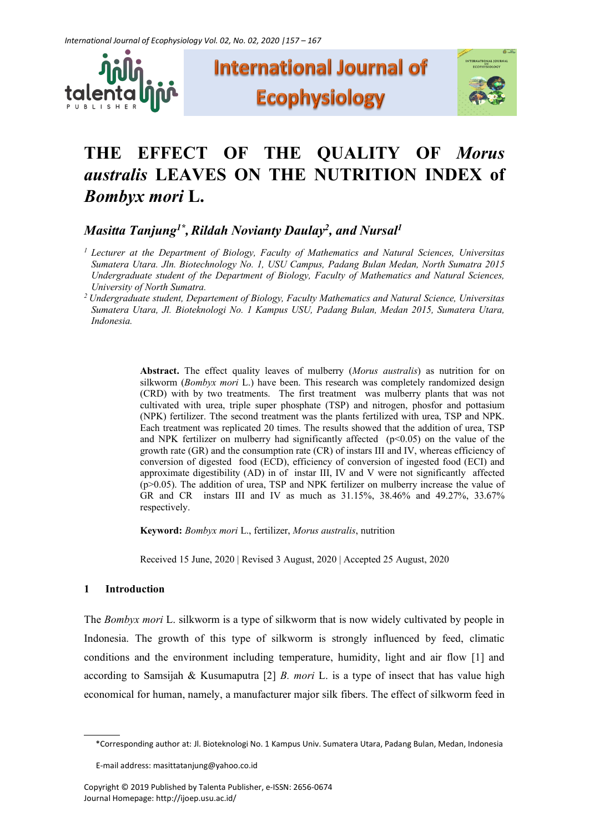





# **THE EFFECT OF THE QUALITY OF** *Morus australis* **LEAVES ON THE NUTRITION INDEX of**  *Bombyx mori* **L.**

 $\bm{M}$ asitta Tanjung<sup>1\*</sup>, Rildah Novianty Daulay<sup>2</sup>, and Nursal<sup>1</sup>

- *<sup>1</sup> Lecturer at the Department of Biology, Faculty of Mathematics and Natural Sciences, Universitas Sumatera Utara. Jln. Biotechnology No. 1, USU Campus, Padang Bulan Medan, North Sumatra 2015 Undergraduate student of the Department of Biology, Faculty of Mathematics and Natural Sciences, University of North Sumatra.*
- *<sup>2</sup> Undergraduate student, Departement of Biology, Faculty Mathematics and Natural Science, Universitas Sumatera Utara, Jl. Bioteknologi No. 1 Kampus USU, Padang Bulan, Medan 2015, Sumatera Utara, Indonesia.*

**Abstract.** The effect quality leaves of mulberry (*Morus australis*) as nutrition for on silkworm (*Bombyx mori* L.) have been. This research was completely randomized design (CRD) with by two treatments. The first treatment was mulberry plants that was not cultivated with urea, triple super phosphate (TSP) and nitrogen, phosfor and pottasium (NPK) fertilizer. Tthe second treatment was the plants fertilized with urea, TSP and NPK. Each treatment was replicated 20 times. The results showed that the addition of urea, TSP and NPK fertilizer on mulberry had significantly affected  $(p<0.05)$  on the value of the growth rate (GR) and the consumption rate (CR) of instars III and IV, whereas efficiency of conversion of digested food (ECD), efficiency of conversion of ingested food (ECI) and approximate digestibility (AD) in of instar III, IV and V were not significantly affected (p>0.05). The addition of urea, TSP and NPK fertilizer on mulberry increase the value of GR and CR instars III and IV as much as 31.15%, 38.46% and 49.27%, 33.67% respectively.

**Keyword:** *Bombyx mori* L., fertilizer, *Morus australis*, nutrition

Received 15 June, 2020 | Revised 3 August, 2020 | Accepted 25 August, 2020

## **1 Introduction**

The *Bombyx mori* L. silkworm is a type of silkworm that is now widely cultivated by people in Indonesia. The growth of this type of silkworm is strongly influenced by feed, climatic conditions and the environment including temperature, humidity, light and air flow [1] and according to Samsijah & Kusumaputra [2] *B. mori* L. is a type of insect that has value high economical for human, namely, a manufacturer major silk fibers. The effect of silkworm feed in

<sup>\*</sup>Corresponding author at: Jl. Bioteknologi No. 1 Kampus Univ. Sumatera Utara, Padang Bulan, Medan, Indonesia

E-mail address: masittatanjung@yahoo.co.id

Copyright © 2019 Published by Talenta Publisher, e-ISSN: 2656-0674 Journal Homepage: http://ijoep.usu.ac.id/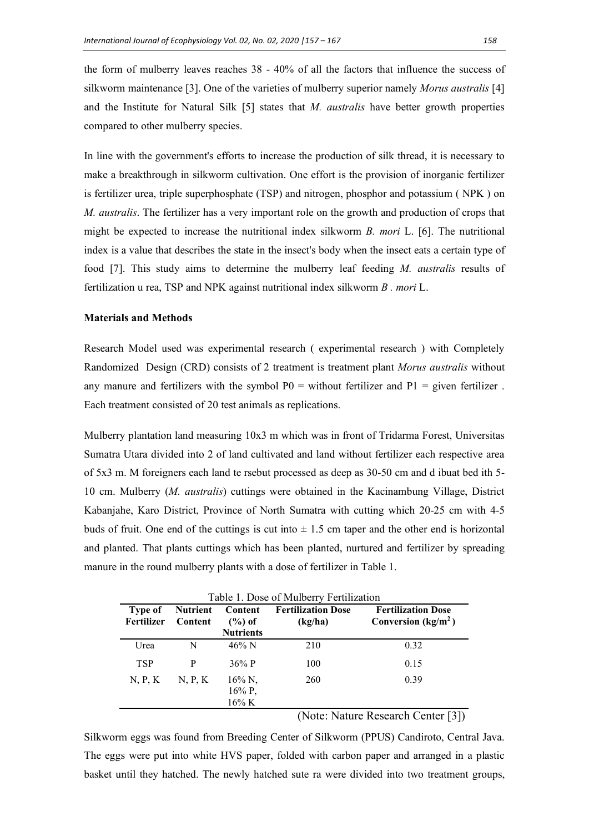the form of mulberry leaves reaches 38 - 40% of all the factors that influence the success of silkworm maintenance [3]. One of the varieties of mulberry superior namely *Morus australis* [4] and the Institute for Natural Silk [5] states that *M. australis* have better growth properties compared to other mulberry species.

In line with the government's efforts to increase the production of silk thread, it is necessary to make a breakthrough in silkworm cultivation. One effort is the provision of inorganic fertilizer is fertilizer urea, triple superphosphate (TSP) and nitrogen, phosphor and potassium ( NPK ) on *M. australis*. The fertilizer has a very important role on the growth and production of crops that might be expected to increase the nutritional index silkworm *B. mori* L. [6]. The nutritional index is a value that describes the state in the insect's body when the insect eats a certain type of food [7]. This study aims to determine the mulberry leaf feeding *M. australis* results of fertilization u rea, TSP and NPK against nutritional index silkworm *B . mori* L.

## **Materials and Methods**

Research Model used was experimental research ( experimental research ) with Completely Randomized Design (CRD) consists of 2 treatment is treatment plant *Morus australis* without any manure and fertilizers with the symbol  $P0 =$  without fertilizer and  $P1 =$  given fertilizer. Each treatment consisted of 20 test animals as replications.

Mulberry plantation land measuring 10x3 m which was in front of Tridarma Forest, Universitas Sumatra Utara divided into 2 of land cultivated and land without fertilizer each respective area of 5x3 m. M foreigners each land te rsebut processed as deep as 30-50 cm and d ibuat bed ith 5- 10 cm. Mulberry (*M. australis*) cuttings were obtained in the Kacinambung Village, District Kabanjahe, Karo District, Province of North Sumatra with cutting which 20-25 cm with 4-5 buds of fruit. One end of the cuttings is cut into  $\pm$  1.5 cm taper and the other end is horizontal and planted. That plants cuttings which has been planted, nurtured and fertilizer by spreading manure in the round mulberry plants with a dose of fertilizer in Table 1.

| Table 1. Dose of Mulberry Fertilization |                            |                                          |                                      |                                                   |
|-----------------------------------------|----------------------------|------------------------------------------|--------------------------------------|---------------------------------------------------|
| Type of<br>Fertilizer                   | <b>Nutrient</b><br>Content | Content<br>$(\%)$ of<br><b>Nutrients</b> | <b>Fertilization Dose</b><br>(kg/ha) | <b>Fertilization Dose</b><br>Conversion $(kg/m2)$ |
| Urea                                    | N                          | $46\%$ N                                 | 210                                  | 0.32                                              |
| <b>TSP</b>                              | P                          | 36\% P                                   | 100                                  | 0.15                                              |
| N, P, K                                 | N, P, K                    | 16% N,<br>$16\%$ P,<br>$16\%$ K          | 260                                  | 0.39                                              |

(Note: Nature Research Center [3])

Silkworm eggs was found from Breeding Center of Silkworm (PPUS) Candiroto, Central Java. The eggs were put into white HVS paper, folded with carbon paper and arranged in a plastic basket until they hatched. The newly hatched sute ra were divided into two treatment groups,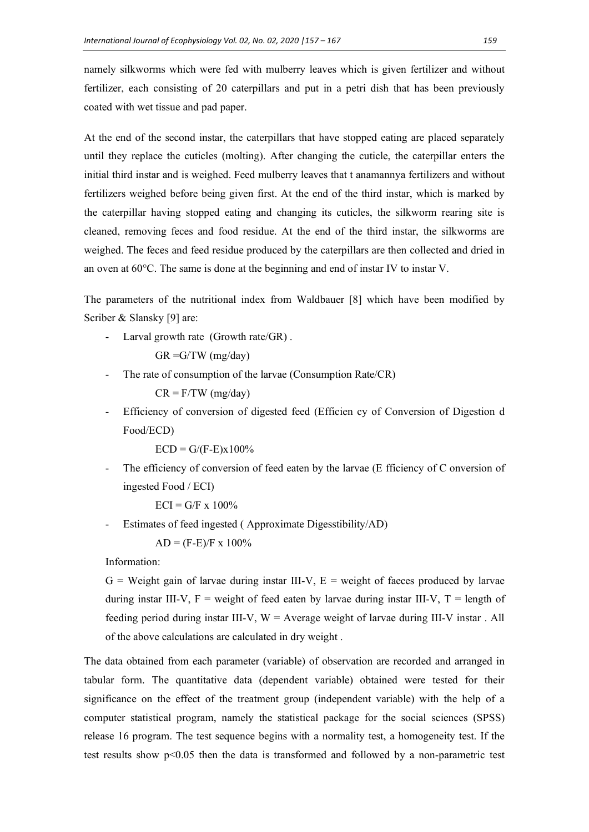namely silkworms which were fed with mulberry leaves which is given fertilizer and without fertilizer, each consisting of 20 caterpillars and put in a petri dish that has been previously coated with wet tissue and pad paper.

At the end of the second instar, the caterpillars that have stopped eating are placed separately until they replace the cuticles (molting). After changing the cuticle, the caterpillar enters the initial third instar and is weighed. Feed mulberry leaves that t anamannya fertilizers and without fertilizers weighed before being given first. At the end of the third instar, which is marked by the caterpillar having stopped eating and changing its cuticles, the silkworm rearing site is cleaned, removing feces and food residue. At the end of the third instar, the silkworms are weighed. The feces and feed residue produced by the caterpillars are then collected and dried in an oven at 60°C. The same is done at the beginning and end of instar IV to instar V.

The parameters of the nutritional index from Waldbauer [8] which have been modified by Scriber & Slansky [9] are:

Larval growth rate (Growth rate/GR).

 $GR = G/TW$  (mg/day)

The rate of consumption of the larvae (Consumption Rate/CR)

 $CR = F/TW$  (mg/day)

- Efficiency of conversion of digested feed (Efficien cy of Conversion of Digestion d Food/ECD)

 $ECD = G/(F-E)x100%$ 

The efficiency of conversion of feed eaten by the larvae (E fficiency of C onversion of ingested Food / ECI)

 $ECI = G/F \times 100\%$ 

Estimates of feed ingested (Approximate Digesstibility/AD)

 $AD = (F-E)/F \times 100\%$ 

Information:

 $G =$  Weight gain of larvae during instar III-V,  $E =$  weight of faeces produced by larvae during instar III-V,  $F =$  weight of feed eaten by larvae during instar III-V,  $T =$  length of feeding period during instar III-V,  $W =$  Average weight of larvae during III-V instar . All of the above calculations are calculated in dry weight .

The data obtained from each parameter (variable) of observation are recorded and arranged in tabular form. The quantitative data (dependent variable) obtained were tested for their significance on the effect of the treatment group (independent variable) with the help of a computer statistical program, namely the statistical package for the social sciences (SPSS) release 16 program. The test sequence begins with a normality test, a homogeneity test. If the test results show p<0.05 then the data is transformed and followed by a non-parametric test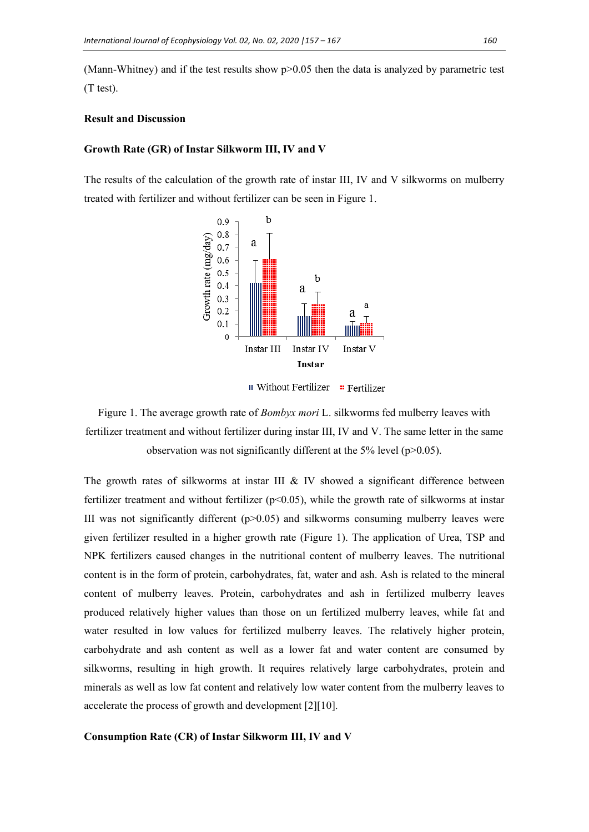(Mann-Whitney) and if the test results show  $p > 0.05$  then the data is analyzed by parametric test (T test).

#### **Result and Discussion**

#### **Growth Rate (GR) of Instar Silkworm III, IV and V**

The results of the calculation of the growth rate of instar III, IV and V silkworms on mulberry treated with fertilizer and without fertilizer can be seen in Figure 1.



**II** Without Fertilizer **E** Fertilizer

Figure 1. The average growth rate of *Bombyx mori* L. silkworms fed mulberry leaves with fertilizer treatment and without fertilizer during instar III, IV and V. The same letter in the same observation was not significantly different at the 5% level (p>0.05).

The growth rates of silkworms at instar III  $&$  IV showed a significant difference between fertilizer treatment and without fertilizer  $(p<0.05)$ , while the growth rate of silkworms at instar III was not significantly different  $(p>0.05)$  and silkworms consuming mulberry leaves were given fertilizer resulted in a higher growth rate (Figure 1). The application of Urea, TSP and NPK fertilizers caused changes in the nutritional content of mulberry leaves. The nutritional content is in the form of protein, carbohydrates, fat, water and ash. Ash is related to the mineral content of mulberry leaves. Protein, carbohydrates and ash in fertilized mulberry leaves produced relatively higher values than those on un fertilized mulberry leaves, while fat and water resulted in low values for fertilized mulberry leaves. The relatively higher protein, carbohydrate and ash content as well as a lower fat and water content are consumed by silkworms, resulting in high growth. It requires relatively large carbohydrates, protein and minerals as well as low fat content and relatively low water content from the mulberry leaves to accelerate the process of growth and development [2][10].

#### **Consumption Rate (CR) of Instar Silkworm III, IV and V**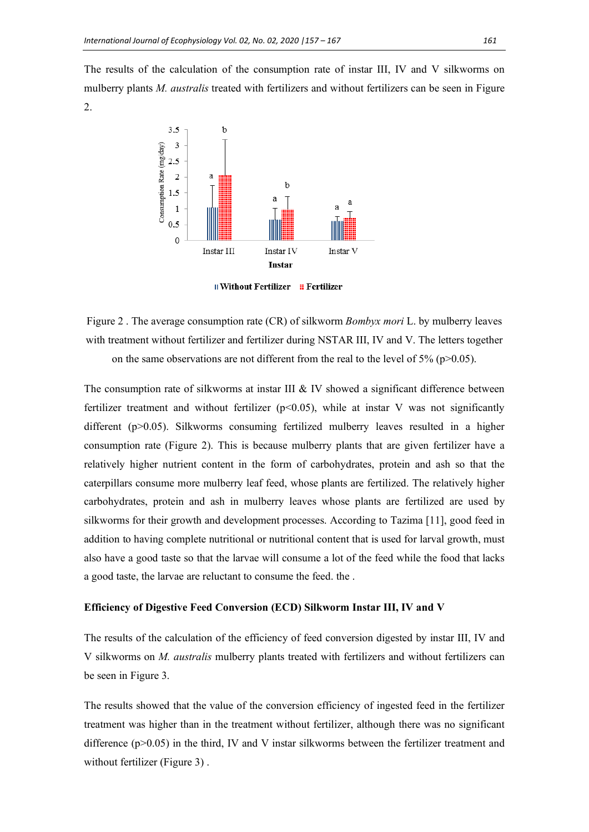The results of the calculation of the consumption rate of instar III, IV and V silkworms on mulberry plants *M. australis* treated with fertilizers and without fertilizers can be seen in Figure 2.



**II** Without Fertilizer **E** Fertilizer

Figure 2 . The average consumption rate (CR) of silkworm *Bombyx mori* L. by mulberry leaves with treatment without fertilizer and fertilizer during NSTAR III, IV and V. The letters together on the same observations are not different from the real to the level of  $5\%$  (p $>0.05$ ).

The consumption rate of silkworms at instar III  $&$  IV showed a significant difference between fertilizer treatment and without fertilizer ( $p<0.05$ ), while at instar V was not significantly different (p>0.05). Silkworms consuming fertilized mulberry leaves resulted in a higher consumption rate (Figure 2). This is because mulberry plants that are given fertilizer have a relatively higher nutrient content in the form of carbohydrates, protein and ash so that the caterpillars consume more mulberry leaf feed, whose plants are fertilized. The relatively higher carbohydrates, protein and ash in mulberry leaves whose plants are fertilized are used by silkworms for their growth and development processes. According to Tazima [11], good feed in addition to having complete nutritional or nutritional content that is used for larval growth, must also have a good taste so that the larvae will consume a lot of the feed while the food that lacks a good taste, the larvae are reluctant to consume the feed. the .

#### **Efficiency of Digestive Feed Conversion (ECD) Silkworm Instar III, IV and V**

The results of the calculation of the efficiency of feed conversion digested by instar III, IV and V silkworms on *M. australis* mulberry plants treated with fertilizers and without fertilizers can be seen in Figure 3.

The results showed that the value of the conversion efficiency of ingested feed in the fertilizer treatment was higher than in the treatment without fertilizer, although there was no significant difference  $(p>0.05)$  in the third, IV and V instar silkworms between the fertilizer treatment and without fertilizer (Figure 3).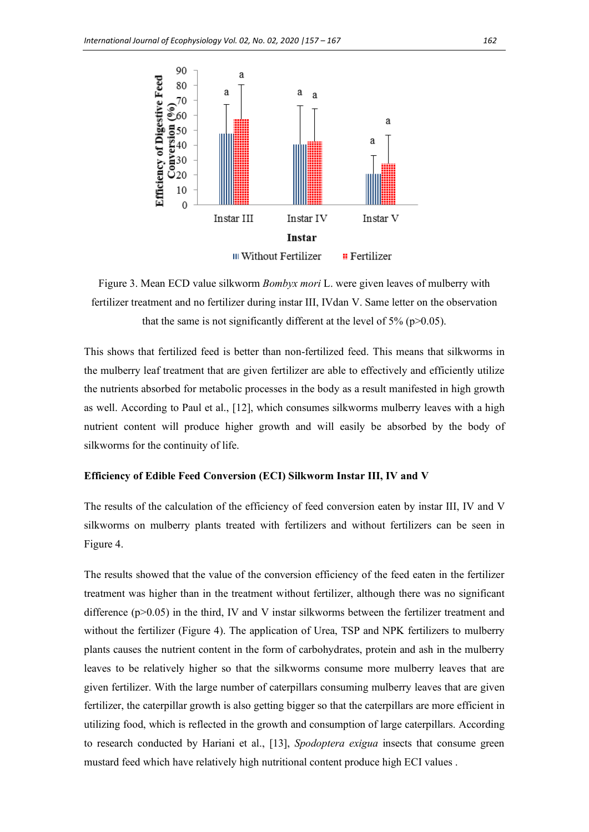

Figure 3. Mean ECD value silkworm *Bombyx mori* L. were given leaves of mulberry with fertilizer treatment and no fertilizer during instar III, IVdan V. Same letter on the observation that the same is not significantly different at the level of  $5\%$  (p $>0.05$ ).

This shows that fertilized feed is better than non-fertilized feed. This means that silkworms in the mulberry leaf treatment that are given fertilizer are able to effectively and efficiently utilize the nutrients absorbed for metabolic processes in the body as a result manifested in high growth as well. According to Paul et al., [12], which consumes silkworms mulberry leaves with a high nutrient content will produce higher growth and will easily be absorbed by the body of silkworms for the continuity of life.

#### **Efficiency of Edible Feed Conversion (ECI) Silkworm Instar III, IV and V**

The results of the calculation of the efficiency of feed conversion eaten by instar III, IV and V silkworms on mulberry plants treated with fertilizers and without fertilizers can be seen in Figure 4.

The results showed that the value of the conversion efficiency of the feed eaten in the fertilizer treatment was higher than in the treatment without fertilizer, although there was no significant difference  $(p>0.05)$  in the third, IV and V instar silkworms between the fertilizer treatment and without the fertilizer (Figure 4). The application of Urea, TSP and NPK fertilizers to mulberry plants causes the nutrient content in the form of carbohydrates, protein and ash in the mulberry leaves to be relatively higher so that the silkworms consume more mulberry leaves that are given fertilizer. With the large number of caterpillars consuming mulberry leaves that are given fertilizer, the caterpillar growth is also getting bigger so that the caterpillars are more efficient in utilizing food, which is reflected in the growth and consumption of large caterpillars. According to research conducted by Hariani et al., [13], *Spodoptera exigua* insects that consume green mustard feed which have relatively high nutritional content produce high ECI values .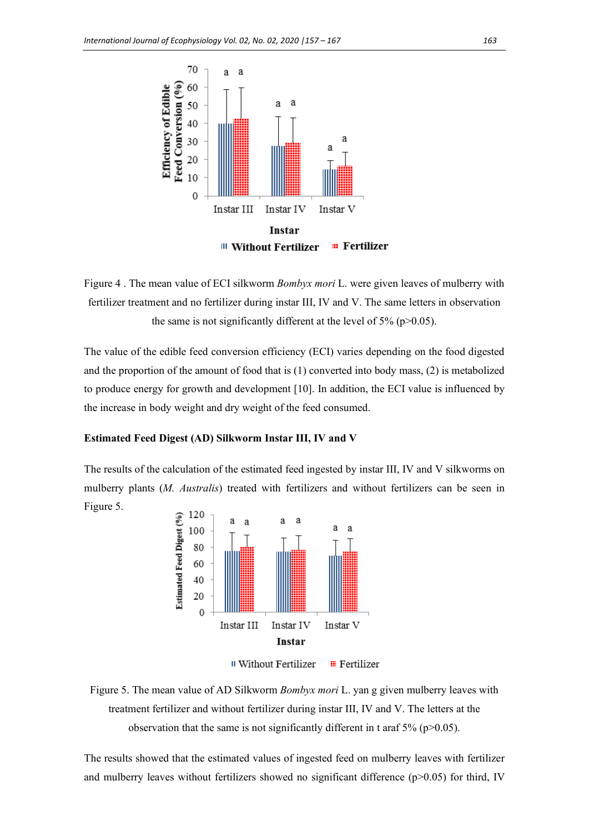



The value of the edible feed conversion efficiency (ECI) varies depending on the food digested and the proportion of the amount of food that is (1) converted into body mass, (2) is metabolized to produce energy for growth and development [10]. In addition, the ECI value is influenced by the increase in body weight and dry weight of the feed consumed.

#### **Estimated Feed Digest (AD) Silkworm Instar III, IV and V**

The results of the calculation of the estimated feed ingested by instar III, IV and V silkworms on mulberry plants (*M. Australis*) treated with fertilizers and without fertilizers can be seen in Figure 5.





The results showed that the estimated values of ingested feed on mulberry leaves with fertilizer and mulberry leaves without fertilizers showed no significant difference ( $p$  $>$ 0.05) for third, IV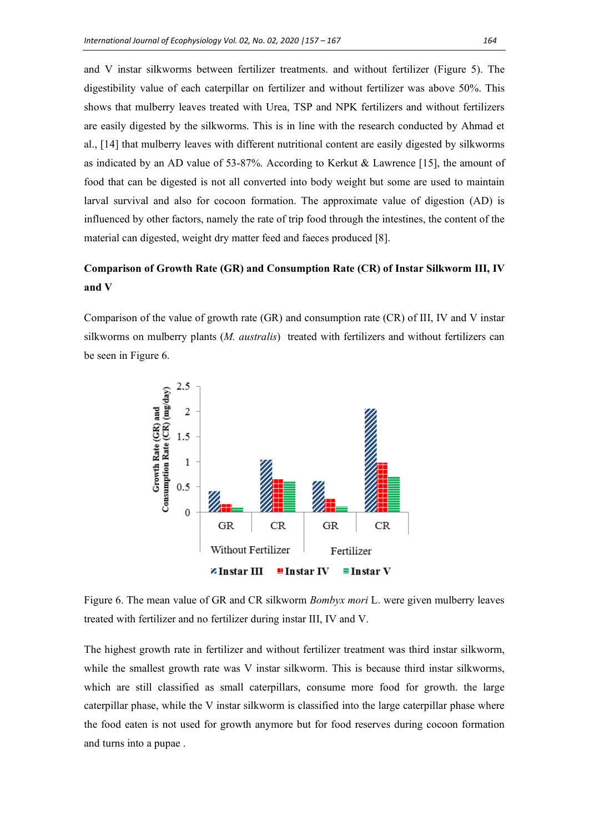and V instar silkworms between fertilizer treatments. and without fertilizer (Figure 5). The digestibility value of each caterpillar on fertilizer and without fertilizer was above 50%. This shows that mulberry leaves treated with Urea, TSP and NPK fertilizers and without fertilizers are easily digested by the silkworms. This is in line with the research conducted by Ahmad et al., [14] that mulberry leaves with different nutritional content are easily digested by silkworms as indicated by an AD value of 53-87%. According to Kerkut & Lawrence [15], the amount of food that can be digested is not all converted into body weight but some are used to maintain larval survival and also for cocoon formation. The approximate value of digestion (AD) is influenced by other factors, namely the rate of trip food through the intestines, the content of the material can digested, weight dry matter feed and faeces produced [8].

# **Comparison of Growth Rate (GR) and Consumption Rate (CR) of Instar Silkworm III, IV and V**

Comparison of the value of growth rate (GR) and consumption rate (CR) of III, IV and V instar silkworms on mulberry plants (*M. australis*) treated with fertilizers and without fertilizers can be seen in Figure 6.



Figure 6. The mean value of GR and CR silkworm *Bombyx mori* L. were given mulberry leaves treated with fertilizer and no fertilizer during instar III, IV and V.

The highest growth rate in fertilizer and without fertilizer treatment was third instar silkworm, while the smallest growth rate was V instar silkworm. This is because third instar silkworms, which are still classified as small caterpillars, consume more food for growth. the large caterpillar phase, while the V instar silkworm is classified into the large caterpillar phase where the food eaten is not used for growth anymore but for food reserves during cocoon formation and turns into a pupae .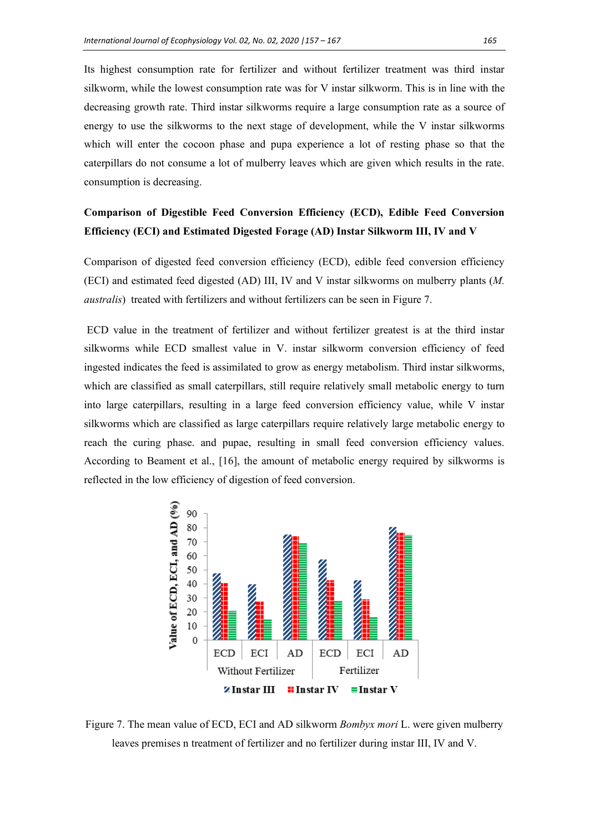Its highest consumption rate for fertilizer and without fertilizer treatment was third instar silkworm, while the lowest consumption rate was for V instar silkworm. This is in line with the decreasing growth rate. Third instar silkworms require a large consumption rate as a source of energy to use the silkworms to the next stage of development, while the V instar silkworms which will enter the cocoon phase and pupa experience a lot of resting phase so that the caterpillars do not consume a lot of mulberry leaves which are given which results in the rate. consumption is decreasing.

# **Comparison of Digestible Feed Conversion Efficiency (ECD), Edible Feed Conversion Efficiency (ECI) and Estimated Digested Forage (AD) Instar Silkworm III, IV and V**

Comparison of digested feed conversion efficiency (ECD), edible feed conversion efficiency (ECI) and estimated feed digested (AD) III, IV and V instar silkworms on mulberry plants (*M. australis*) treated with fertilizers and without fertilizers can be seen in Figure 7.

ECD value in the treatment of fertilizer and without fertilizer greatest is at the third instar silkworms while ECD smallest value in V. instar silkworm conversion efficiency of feed ingested indicates the feed is assimilated to grow as energy metabolism. Third instar silkworms, which are classified as small caterpillars, still require relatively small metabolic energy to turn into large caterpillars, resulting in a large feed conversion efficiency value, while V instar silkworms which are classified as large caterpillars require relatively large metabolic energy to reach the curing phase. and pupae, resulting in small feed conversion efficiency values. According to Beament et al., [16], the amount of metabolic energy required by silkworms is reflected in the low efficiency of digestion of feed conversion.



Figure 7. The mean value of ECD, ECI and AD silkworm *Bombyx mori* L. were given mulberry leaves premises n treatment of fertilizer and no fertilizer during instar III, IV and V.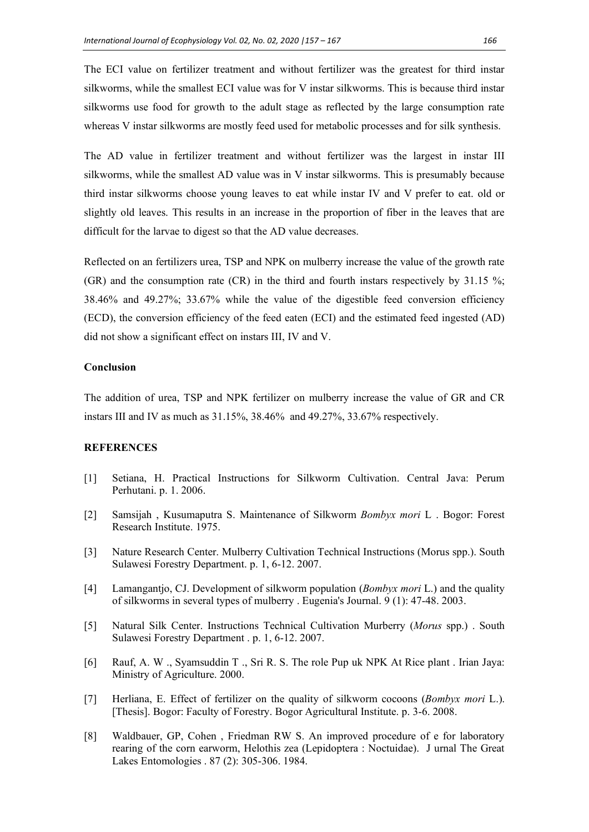The ECI value on fertilizer treatment and without fertilizer was the greatest for third instar silkworms, while the smallest ECI value was for V instar silkworms. This is because third instar silkworms use food for growth to the adult stage as reflected by the large consumption rate whereas V instar silkworms are mostly feed used for metabolic processes and for silk synthesis.

The AD value in fertilizer treatment and without fertilizer was the largest in instar III silkworms, while the smallest AD value was in V instar silkworms. This is presumably because third instar silkworms choose young leaves to eat while instar IV and V prefer to eat. old or slightly old leaves. This results in an increase in the proportion of fiber in the leaves that are difficult for the larvae to digest so that the AD value decreases.

Reflected on an fertilizers urea, TSP and NPK on mulberry increase the value of the growth rate (GR) and the consumption rate (CR) in the third and fourth instars respectively by 31.15 %; 38.46% and 49.27%; 33.67% while the value of the digestible feed conversion efficiency (ECD), the conversion efficiency of the feed eaten (ECI) and the estimated feed ingested (AD) did not show a significant effect on instars III, IV and V.

## **Conclusion**

The addition of urea, TSP and NPK fertilizer on mulberry increase the value of GR and CR instars III and IV as much as 31.15%, 38.46% and 49.27%, 33.67% respectively.

# **REFERENCES**

- [1] Setiana, H. Practical Instructions for Silkworm Cultivation. Central Java: Perum Perhutani. p. 1. 2006.
- [2] Samsijah , Kusumaputra S. Maintenance of Silkworm *Bombyx mori* L . Bogor: Forest Research Institute. 1975.
- [3] Nature Research Center. Mulberry Cultivation Technical Instructions (Morus spp.). South Sulawesi Forestry Department. p. 1, 6-12. 2007.
- [4] Lamangantjo, CJ. Development of silkworm population (*Bombyx mori* L.) and the quality of silkworms in several types of mulberry . Eugenia's Journal. 9 (1): 47-48. 2003.
- [5] Natural Silk Center. Instructions Technical Cultivation Murberry (*Morus* spp.) . South Sulawesi Forestry Department . p. 1, 6-12. 2007.
- [6] Rauf, A. W ., Syamsuddin T ., Sri R. S. The role Pup uk NPK At Rice plant . Irian Jaya: Ministry of Agriculture. 2000.
- [7] Herliana, E. Effect of fertilizer on the quality of silkworm cocoons (*Bombyx mori* L.). [Thesis]. Bogor: Faculty of Forestry. Bogor Agricultural Institute. p. 3-6. 2008.
- [8] Waldbauer, GP, Cohen , Friedman RW S. An improved procedure of e for laboratory rearing of the corn earworm, Helothis zea (Lepidoptera : Noctuidae). J urnal The Great Lakes Entomologies . 87 (2): 305-306. 1984.